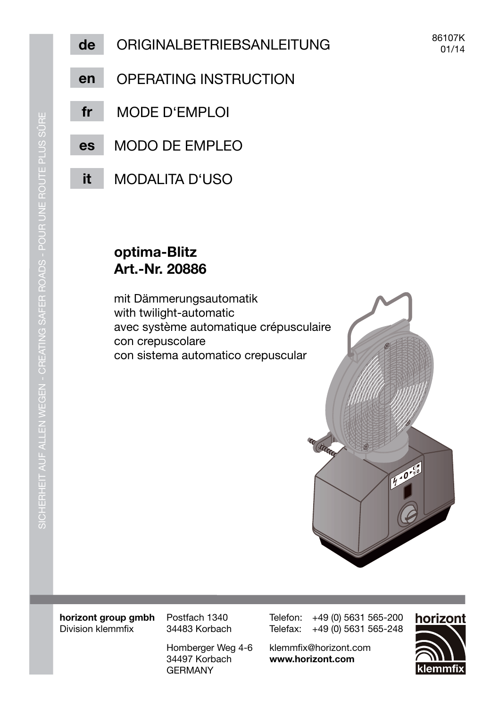- OPFRATING INSTRUCTION en
- fr MODE D'EMPLOI
- **MODO DE EMPLEO** es
- it **MODALITA D'USO**

## optima-Blitz Art.-Nr. 20886

mit Dämmerungsautomatik with twilight-automatic avec système automatique crépusculaire con crepuscolare con sistema automatico crepuscular



horizont group gmbh Division klemmfix

Postfach 1340 34483 Korbach

Homberger Weg 4-6 34497 Korbach **GFRMANY** 

Telefon: +49 (0) 5631 565-200 Telefax: +49 (0) 5631 565-248

klemmfix@horizont.com www.horizont.com

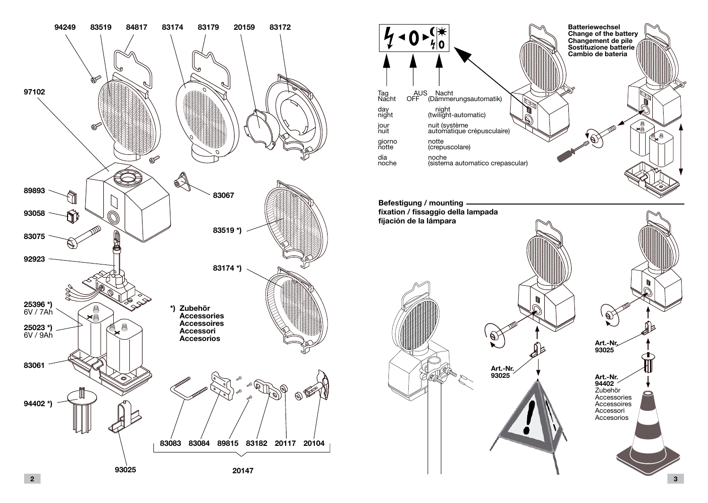